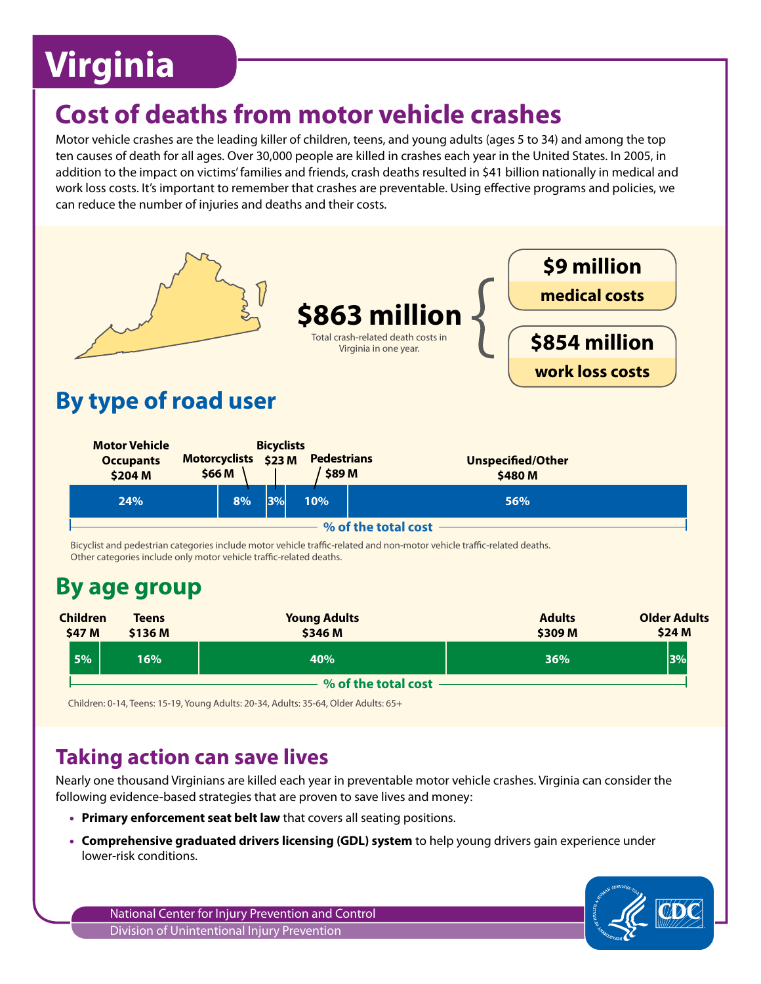# **Virginia**

## **Cost of deaths from motor vehicle crashes**

Motor vehicle crashes are the leading killer of children, teens, and young adults (ages 5 to 34) and among the top ten causes of death for all ages. Over 30,000 people are killed in crashes each year in the United States. In 2005, in addition to the impact on victims' families and friends, crash deaths resulted in \$41 billion nationally in medical and work loss costs. It's important to remember that crashes are preventable. Using effective programs and policies, we can reduce the number of injuries and deaths and their costs.



## **Taking action can save lives**

Nearly one thousand Virginians are killed each year in preventable motor vehicle crashes. Virginia can consider the following evidence-based strategies that are proven to save lives and money:

- **Primary enforcement seat belt law** that covers all seating positions.
- **Comprehensive graduated drivers licensing (GDL) system** to help young drivers gain experience under lower-risk conditions.

National Center for Injury Prevention and Control Division of Unintentional Injury Prevention